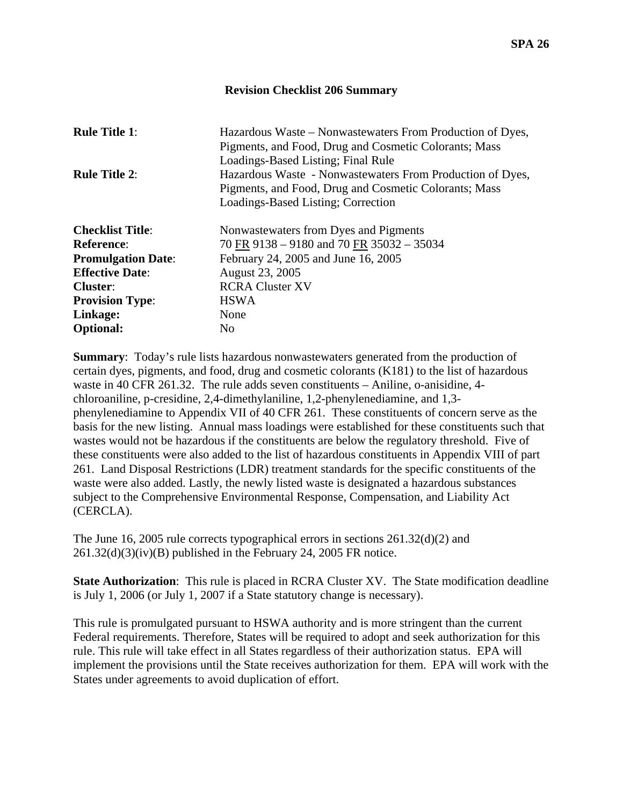## **Revision Checklist 206 Summary**

| <b>Rule Title 1:</b><br><b>Rule Title 2:</b> | Hazardous Waste – Nonwastewaters From Production of Dyes,<br>Pigments, and Food, Drug and Cosmetic Colorants; Mass<br>Loadings-Based Listing; Final Rule<br>Hazardous Waste - Nonwastewaters From Production of Dyes,<br>Pigments, and Food, Drug and Cosmetic Colorants; Mass<br>Loadings-Based Listing; Correction |
|----------------------------------------------|----------------------------------------------------------------------------------------------------------------------------------------------------------------------------------------------------------------------------------------------------------------------------------------------------------------------|
| <b>Checklist Title:</b>                      | Nonwastewaters from Dyes and Pigments                                                                                                                                                                                                                                                                                |
| <b>Reference:</b>                            | 70 FR 9138 - 9180 and 70 FR 35032 - 35034                                                                                                                                                                                                                                                                            |
| <b>Promulgation Date:</b>                    | February 24, 2005 and June 16, 2005                                                                                                                                                                                                                                                                                  |
| <b>Effective Date:</b>                       | August 23, 2005                                                                                                                                                                                                                                                                                                      |
| Cluster:                                     | <b>RCRA Cluster XV</b>                                                                                                                                                                                                                                                                                               |
| <b>Provision Type:</b>                       | <b>HSWA</b>                                                                                                                                                                                                                                                                                                          |
| Linkage:                                     | None                                                                                                                                                                                                                                                                                                                 |
| <b>Optional:</b>                             | N <sub>0</sub>                                                                                                                                                                                                                                                                                                       |

**Summary**: Today's rule lists hazardous nonwastewaters generated from the production of certain dyes, pigments, and food, drug and cosmetic colorants (K181) to the list of hazardous waste in 40 CFR 261.32. The rule adds seven constituents – Aniline, o-anisidine, 4 chloroaniline, p-cresidine, 2,4-dimethylaniline, 1,2-phenylenediamine, and 1,3 phenylenediamine to Appendix VII of 40 CFR 261. These constituents of concern serve as the basis for the new listing. Annual mass loadings were established for these constituents such that wastes would not be hazardous if the constituents are below the regulatory threshold. Five of these constituents were also added to the list of hazardous constituents in Appendix VIII of part 261. Land Disposal Restrictions (LDR) treatment standards for the specific constituents of the waste were also added. Lastly, the newly listed waste is designated a hazardous substances subject to the Comprehensive Environmental Response, Compensation, and Liability Act (CERCLA).

The June 16, 2005 rule corrects typographical errors in sections 261.32(d)(2) and 261.32(d)(3)(iv)(B) published in the February 24, 2005 FR notice.

**State Authorization**: This rule is placed in RCRA Cluster XV. The State modification deadline is July 1, 2006 (or July 1, 2007 if a State statutory change is necessary).

This rule is promulgated pursuant to HSWA authority and is more stringent than the current Federal requirements. Therefore, States will be required to adopt and seek authorization for this rule. This rule will take effect in all States regardless of their authorization status. EPA will implement the provisions until the State receives authorization for them. EPA will work with the States under agreements to avoid duplication of effort.